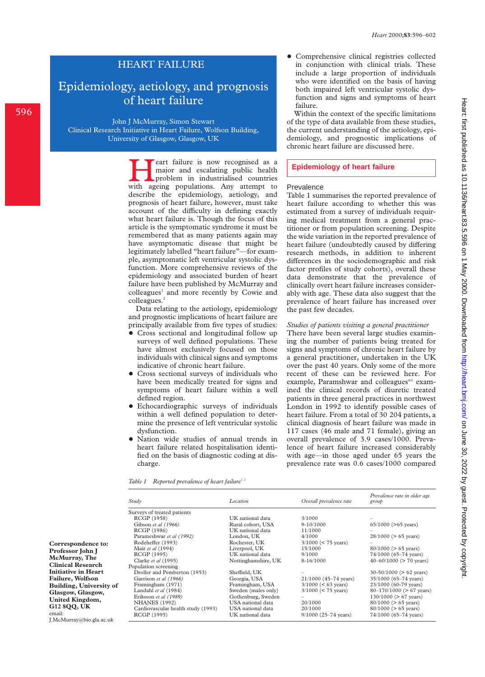## HEART FAILURE

# Epidemiology, aetiology, and prognosis of heart failure

John J McMurray, Simon Stewart Clinical Research Initiative in Heart Failure, Wolfson Building, University of Glasgow, Glasgow, UK

> **Heart failure is now recognised as a** major and escalating public health<br>problem in industrialised countries<br>with ageing populations. Any attempt to major and escalating public health problem in industrialised countries with ageing populations. Any attempt to describe the epidemiology, aetiology, and prognosis of heart failure, however, must take account of the difficulty in defining exactly what heart failure is. Though the focus of this article is the symptomatic syndrome it must be remembered that as many patients again may have asymptomatic disease that might be legitimately labelled "heart failure"—for example, asymptomatic left ventricular systolic dysfunction. More comprehensive reviews of the epidemiology and associated burden of heart failure have been published by McMurray and colleagues<sup>1</sup> and more recently by Cowie and colleagues.<sup>2</sup>

> Data relating to the aetiology, epidemiology and prognostic implications of heart failure are principally available from five types of studies:

- + Cross sectional and longitudinal follow up surveys of well defined populations. These have almost exclusively focused on those individuals with clinical signs and symptoms indicative of chronic heart failure.
- Cross sectional surveys of individuals who have been medically treated for signs and symptoms of heart failure within a well defined region.
- Echocardiographic surveys of individuals within a well defined population to determine the presence of left ventricular systolic dysfunction.
- Nation wide studies of annual trends in heart failure related hospitalisation identified on the basis of diagnostic coding at discharge.

+ Comprehensive clinical registries collected in conjunction with clinical trials. These include a large proportion of individuals who were identified on the basis of having both impaired left ventricular systolic dysfunction and signs and symptoms of heart failure.

Within the context of the specific limitations of the type of data available from these studies, the current understanding of the aetiology, epidemiology, and prognostic implications of chronic heart failure are discussed here.

## **Epidemiology of heart failure**

## Prevalence

Table 1 summarises the reported prevalence of heart failure according to whether this was estimated from a survey of individuals requiring medical treatment from a general practitioner or from population screening. Despite the wide variation in the reported prevalence of heart failure (undoubtedly caused by differing research methods, in addition to inherent differences in the sociodemographic and risk factor profiles of study cohorts), overall these data demonstrate that the prevalence of clinically overt heart failure increases considerably with age. These data also suggest that the prevalence of heart failure has increased over the past few decades.

## *Studies of patients visiting a general practitioner*

There have been several large studies examining the number of patients being treated for signs and symptoms of chronic heart failure by a general practitioner, undertaken in the UK over the past 40 years. Only some of the more recent of these can be reviewed here. For example, Paramshwar and colleagues $w_1$  examined the clinical records of diuretic treated patients in three general practices in northwest London in 1992 to identify possible cases of heart failure. From a total of 30 204 patients, a clinical diagnosis of heart failure was made in 117 cases (46 male and 71 female), giving an overall prevalence of 3.9 cases/1000. Prevalence of heart failure increased considerably with age—in those aged under 65 years the prevalence rate was 0.6 cases/1000 compared

| Table 1<br>Reported prevalence of heart failure <sup><math>12</math></sup> |
|----------------------------------------------------------------------------|
|----------------------------------------------------------------------------|

**Correspondence to: Professor John J McMurray, The Clinical Research Initiative in Heart Failure, Wolfson Building, University of Glasgow, Glasgow, United Kingdom, G12 8QQ, UK** email: J.McMurray@bio.gla.ac.uk

| Study                              | Location            | Overall prevalence rate | Prevalence rate in older age<br>group |  |
|------------------------------------|---------------------|-------------------------|---------------------------------------|--|
| Surveys of treated patients        |                     |                         |                                       |  |
| RCGP (1958)                        | UK national data    | 3/1000                  |                                       |  |
| Gibson et al (1966)                | Rural cohort, USA   | $9 - 10/1000$           | $65/1000$ ( $>65$ years)              |  |
| RCGP (1986)                        | UK national data    | 11/1000                 |                                       |  |
| Parameshwar et al (1992)           | London, UK          | 4/1000                  | $28/1000$ ( $> 65$ years)             |  |
| Rodeheffer (1993)                  | Rochester, UK       | $3/1000 \le 75$ years)  |                                       |  |
| Mair et al (1994)                  | Liverpool, UK       | 15/1000                 | $80/1000$ (> 65 years)                |  |
| RCGP (1995)                        | UK national data    | 9/1000                  | 74/1000 (65–74 years)                 |  |
| Clarke et al (1995)                | Nottinghamshire, UK | $8-16/1000$             | $40-60/1000$ (> 70 years)             |  |
| Population screening               |                     |                         |                                       |  |
| Droller and Pemberton (1953)       | Sheffield, UK       |                         | $30-50/1000$ (> 62 years)             |  |
| Garrison et al (1966)              | Georgia, USA        | $21/1000$ (45–74 years) | 35/1000 (65-74 years)                 |  |
| Framingham (1971)                  | Framingham, USA     | $3/1000 \leq 63$ years) | 23/1000 (60-79 years)                 |  |
| Landahl et al (1984)               | Sweden (males only) | $3/1000 \le 75$ years)  | $80-170/1000$ (> 67 years)            |  |
| Eriksson et al (1989)              | Gothenburg, Sweden  |                         | $130/1000$ (> 67 years)               |  |
| <b>NHANES</b> (1992)               | USA national data   | 20/1000                 | $80/1000$ (> 65 years)                |  |
| Cardiovascular health study (1993) | USA national data   | 20/1000                 | $80/1000$ ( $> 65$ years)             |  |
| RCGP (1995)                        | UK national data    | $9/1000$ (25-74 years)  | 74/1000 (65–74 years)                 |  |
|                                    |                     |                         |                                       |  |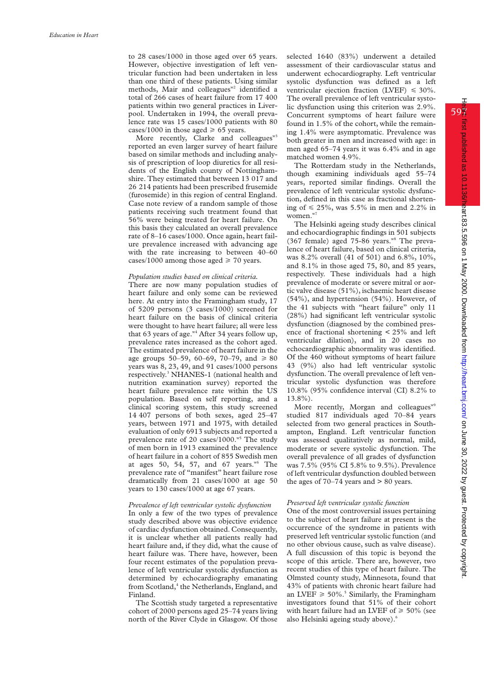597

to 28 cases/1000 in those aged over 65 years. However, objective investigation of left ventricular function had been undertaken in less than one third of these patients. Using similar methods, Mair and colleagues<sup>w2</sup> identified a total of 266 cases of heart failure from 17 400 patients within two general practices in Liverpool. Undertaken in 1994, the overall prevalence rate was 15 cases/1000 patients with 80 cases/1000 in those aged  $\geq 65$  years.

More recently, Clarke and colleagues $^{w3}$ reported an even larger survey of heart failure based on similar methods and including analysis of prescription of loop diuretics for all residents of the English county of Nottinghamshire. They estimated that between 13 017 and 26 214 patients had been prescribed frusemide (furosemide) in this region of central England. Case note review of a random sample of those patients receiving such treatment found that 56% were being treated for heart failure. On this basis they calculated an overall prevalence rate of 8–16 cases/1000. Once again, heart failure prevalence increased with advancing age with the rate increasing to between  $40-60$ cases/1000 among those aged  $\geq 70$  years.

#### *Population studies based on clinical criteria.*

There are now many population studies of heart failure and only some can be reviewed here. At entry into the Framingham study, 17 of 5209 persons (3 cases/1000) screened for heart failure on the basis of clinical criteria were thought to have heart failure; all were less that 63 years of age.<sup>w4</sup> After 34 years follow up, prevalence rates increased as the cohort aged. The estimated prevalence of heart failure in the age groups 50–59, 60–69, 70–79, and  $\geq 80$ years was 8, 23, 49, and 91 cases/1000 persons respectively.<sup>3</sup> NHANES-1 (national health and nutrition examination survey) reported the heart failure prevalence rate within the US population. Based on self reporting, and a clinical scoring system, this study screened 14 407 persons of both sexes, aged 25–47 years, between 1971 and 1975, with detailed evaluation of only 6913 subjects and reported a prevalence rate of 20 cases/1000.<sup>w5</sup> The study of men born in 1913 examined the prevalence of heart failure in a cohort of 855 Swedish men at ages 50, 54, 57, and 67 years.<sup>w6</sup> The prevalence rate of "manifest" heart failure rose dramatically from 21 cases/1000 at age 50 years to 130 cases/1000 at age 67 years.

#### *Prevalence of left ventricular systolic dysfunction*

In only a few of the two types of prevalence study described above was objective evidence of cardiac dysfunction obtained. Consequently, it is unclear whether all patients really had heart failure and, if they did, what the cause of heart failure was. There have, however, been four recent estimates of the population prevalence of left ventricular systolic dysfunction as determined by echocardiography emanating from Scotland,<sup>4</sup> the Netherlands, England, and Finland.

The Scottish study targeted a representative cohort of 2000 persons aged 25–74 years living north of the River Clyde in Glasgow. Of those

selected 1640 (83%) underwent a detailed assessment of their cardiovascular status and underwent echocardiography. Left ventricular systolic dysfunction was defined as a left ventricular ejection fraction (LVEF)  $\leq 30\%$ . The overall prevalence of left ventricular systolic dysfunction using this criterion was 2.9%. Concurrent symptoms of heart failure were found in 1.5% of the cohort, while the remaining 1.4% were asymptomatic. Prevalence was both greater in men and increased with age: in men aged 65–74 years it was 6.4% and in age matched women 4.9%.

The Rotterdam study in the Netherlands, though examining individuals aged 55–74 years, reported similar findings. Overall the prevalence of left ventricular systolic dysfunction, defined in this case as fractional shortening of  $\leq 25\%$ , was 5.5% in men and 2.2% in women.<sup>w7</sup>

The Helsinki ageing study describes clinical and echocardiographic findings in 501 subjects (367 female) aged 75-86 years. $w8$  The prevalence of heart failure, based on clinical criteria, was 8.2% overall (41 of 501) and 6.8%, 10%, and 8.1% in those aged 75, 80, and 85 years, respectively. These individuals had a high prevalence of moderate or severe mitral or aortic valve disease (51%), ischaemic heart disease (54%), and hypertension (54%). However, of the 41 subjects with "heart failure" only 11 (28%) had significant left ventricular systolic dysfunction (diagnosed by the combined presence of fractional shortening < 25% and left ventricular dilation), and in 20 cases no echocardiographic abnormality was identified. Of the 460 without symptoms of heart failure 43 (9%) also had left ventricular systolic dysfunction. The overall prevalence of left ventricular systolic dysfunction was therefore 10.8% (95% confidence interval (CI) 8.2% to 13.8%).

More recently, Morgan and colleagues<sup>w9</sup> studied 817 individuals aged 70–84 years selected from two general practices in Southampton, England. Left ventricular function was assessed qualitatively as normal, mild, moderate or severe systolic dysfunction. The overall prevalence of all grades of dysfunction was 7.5% (95% CI 5.8% to 9.5%). Prevalence of left ventricular dysfunction doubled between the ages of  $70-74$  years and  $> 80$  years.

#### *Preserved left ventricular systolic function*

One of the most controversial issues pertaining to the subject of heart failure at present is the occurrence of the syndrome in patients with preserved left ventricular systolic function (and no other obvious cause, such as valve disease). A full discussion of this topic is beyond the scope of this article. There are, however, two recent studies of this type of heart failure. The Olmsted county study, Minnesota, found that 43% of patients with chronic heart failure had an LVEF  $\geq 50\%$ .<sup>5</sup> Similarly, the Framingham investigators found that 51% of their cohort with heart failure had an LVEF of  $\geq 50\%$  (see also Helsinki ageing study above).<sup>6</sup>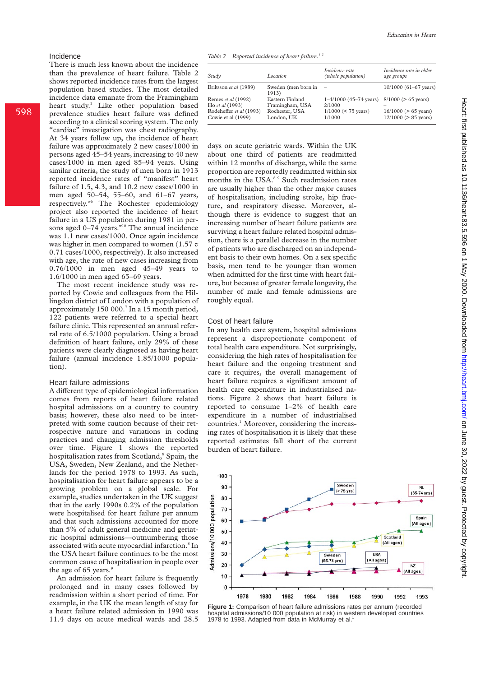598

There is much less known about the incidence than the prevalence of heart failure. Table 2 shows reported incidence rates from the largest population based studies. The most detailed incidence data emanate from the Framingham heart study.<sup>3</sup> Like other population based prevalence studies heart failure was defined according to a clinical scoring system. The only "cardiac" investigation was chest radiography. At 34 years follow up, the incidence of heart failure was approximately 2 new cases/1000 in persons aged 45–54 years, increasing to 40 new cases/1000 in men aged 85–94 years. Using similar criteria, the study of men born in 1913 reported incidence rates of "manifest" heart failure of 1.5, 4.3, and 10.2 new cases/1000 in men aged 50–54, 55–60, and 61–67 years, respectively.<sup>w6</sup> The Rochester epidemiology project also reported the incidence of heart failure in a US population during 1981 in persons aged  $0-74$  years.<sup>w10</sup> The annual incidence was 1.1 new cases/1000. Once again incidence was higher in men compared to women (1.57 *v* 0.71 cases/1000, respectively). It also increased with age, the rate of new cases increasing from 0.76/1000 in men aged 45–49 years to 1.6/1000 in men aged 65–69 years.

The most recent incidence study was reported by Cowie and colleagues from the Hillingdon district of London with a population of approximately  $150,000$ .<sup>7</sup> In a 15 month period, 122 patients were referred to a special heart failure clinic. This represented an annual referral rate of 6.5/1000 population. Using a broad definition of heart failure, only 29% of these patients were clearly diagnosed as having heart failure (annual incidence 1.85/1000 population).

## Heart failure admissions

A different type of epidemiological information comes from reports of heart failure related hospital admissions on a country to country basis; however, these also need to be interpreted with some caution because of their retrospective nature and variations in coding practices and changing admission thresholds over time. Figure 1 shows the reported hospitalisation rates from Scotland,<sup>8</sup> Spain, the USA, Sweden, New Zealand, and the Netherlands for the period 1978 to 1993. As such, hospitalisation for heart failure appears to be a growing problem on a global scale. For example, studies undertaken in the UK suggest that in the early 1990s 0.2% of the population were hospitalised for heart failure per annum and that such admissions accounted for more than 5% of adult general medicine and geriatric hospital admissions—outnumbering those associated with acute myocardial infarction.<sup>8</sup> In the USA heart failure continues to be the most common cause of hospitalisation in people over the age of 65 years. $9$ 

An admission for heart failure is frequently prolonged and in many cases followed by readmission within a short period of time. For example, in the UK the mean length of stay for a heart failure related admission in 1990 was 11.4 days on acute medical wards and 28.5

*Table 2 Reported incidence of heart failure.1 2*

| Study                                                                                  | Location                                                           | Incidence rate<br>(whole population)                                    | Incidence rate in older<br>age groups                                           |
|----------------------------------------------------------------------------------------|--------------------------------------------------------------------|-------------------------------------------------------------------------|---------------------------------------------------------------------------------|
| Eriksson et al (1989)                                                                  | Sweden (men born in<br>1913)                                       | $\overline{\phantom{a}}$                                                | $10/1000$ (61–67 years)                                                         |
| Remes et al (1992)<br>Ho et al (1993)<br>Rodeheffer et al (1993)<br>Cowie et al (1999) | Eastern Finland<br>Framingham, USA<br>Rochester, USA<br>London, UK | $1 - 4/1000$ (45-74 years)<br>2/1000<br>$1/1000$ (< 75 years)<br>1/1000 | $8/1000$ ( $> 65$ years)<br>$16/1000$ ( $> 65$ years)<br>$12/1000$ (> 85 years) |

days on acute geriatric wards. Within the UK about one third of patients are readmitted within 12 months of discharge, while the same proportion are reportedly readmitted within six months in the USA.<sup>8</sup> <sup>9</sup> Such readmission rates are usually higher than the other major causes of hospitalisation, including stroke, hip fracture, and respiratory disease. Moreover, although there is evidence to suggest that an increasing number of heart failure patients are surviving a heart failure related hospital admission, there is a parallel decrease in the number of patients who are discharged on an independent basis to their own homes. On a sex specific basis, men tend to be younger than women when admitted for the first time with heart failure, but because of greater female longevity, the number of male and female admissions are roughly equal.

#### Cost of heart failure

In any health care system, hospital admissions represent a disproportionate component of total health care expenditure. Not surprisingly, considering the high rates of hospitalisation for heart failure and the ongoing treatment and care it requires, the overall management of heart failure requires a significant amount of health care expenditure in industrialised nations. Figure 2 shows that heart failure is reported to consume 1–2% of health care expenditure in a number of industrialised countries.<sup>1</sup> Moreover, considering the increasing rates of hospitalisation it is likely that these reported estimates fall short of the current burden of heart failure.



**Figure 1:** Comparison of heart failure admissions rates per annum (recorded hospital admissions/10 000 population at risk) in western developed countries 1978 to 1993. Adapted from data in McMurray et al.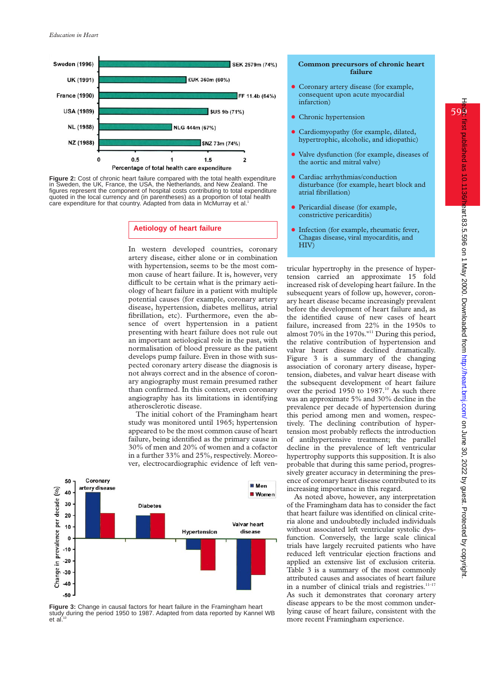

**Figure 2:** Cost of chronic heart failure compared with the total health expenditure in Sweden, the UK, France, the USA, the Netherlands, and New Zealand. The figures represent the component of hospital costs contributing to total expenditure quoted in the local currency and (in parentheses) as a proportion of total health care expenditure for that country. Adapted from data in McMurray et al.<sup>1</sup>

**Aetiology of heart failure**

In western developed countries, coronary artery disease, either alone or in combination with hypertension, seems to be the most common cause of heart failure. It is, however, very difficult to be certain what is the primary aetiology of heart failure in a patient with multiple potential causes (for example, coronary artery disease, hypertension, diabetes mellitus, atrial fibrillation, etc). Furthermore, even the absence of overt hypertension in a patient presenting with heart failure does not rule out an important aetiological role in the past, with normalisation of blood pressure as the patient develops pump failure. Even in those with suspected coronary artery disease the diagnosis is not always correct and in the absence of coronary angiography must remain presumed rather than confirmed. In this context, even coronary angiography has its limitations in identifying atherosclerotic disease.

The initial cohort of the Framingham heart study was monitored until 1965; hypertension appeared to be the most common cause of heart failure, being identified as the primary cause in 30% of men and 20% of women and a cofactor in a further 33% and 25%, respectively. Moreover, electrocardiographic evidence of left ven-



**Figure 3:** Change in causal factors for heart failure in the Framingham heart<br>study during the period 1950 to 1987. Adapted from data reported by Kannel WB<br>et al.<sup>10</sup>

### **Common precursors of chronic heart failure**

- Coronary artery disease (for example, consequent upon acute myocardial infarction)
- Chronic hypertension
- Cardiomyopathy (for example, dilated, hypertrophic, alcoholic, and idiopathic)
- Valve dysfunction (for example, diseases of the aortic and mitral valve)
- Cardiac arrhythmias/conduction disturbance (for example, heart block and atrial fibrillation)
- Pericardial disease (for example, constrictive pericarditis)
- Infection (for example, rheumatic fever, Chagas disease, viral myocarditis, and HIV)

tricular hypertrophy in the presence of hypertension carried an approximate 15 fold increased risk of developing heart failure. In the subsequent years of follow up, however, coronary heart disease became increasingly prevalent before the development of heart failure and, as the identified cause of new cases of heart failure, increased from 22% in the 1950s to almost  $70\%$  in the 1970s.<sup>w11</sup> During this period, the relative contribution of hypertension and valvar heart disease declined dramatically. Figure 3 is a summary of the changing association of coronary artery disease, hypertension, diabetes, and valvar heart disease with the subsequent development of heart failure over the period 1950 to 1987.<sup>10</sup> As such there was an approximate 5% and 30% decline in the prevalence per decade of hypertension during this period among men and women, respectively. The declining contribution of hypertension most probably reflects the introduction of antihypertensive treatment; the parallel decline in the prevalence of left ventricular hypertrophy supports this supposition. It is also probable that during this same period, progressively greater accuracy in determining the presence of coronary heart disease contributed to its increasing importance in this regard.

As noted above, however, any interpretation of the Framingham data has to consider the fact that heart failure was identified on clinical criteria alone and undoubtedly included individuals without associated left ventricular systolic dysfunction. Conversely, the large scale clinical trials have largely recruited patients who have reduced left ventricular ejection fractions and applied an extensive list of exclusion criteria. Table 3 is a summary of the most commonly attributed causes and associates of heart failure in a number of clinical trials and registries. $11-17$ As such it demonstrates that coronary artery disease appears to be the most common underlying cause of heart failure, consistent with the more recent Framingham experience.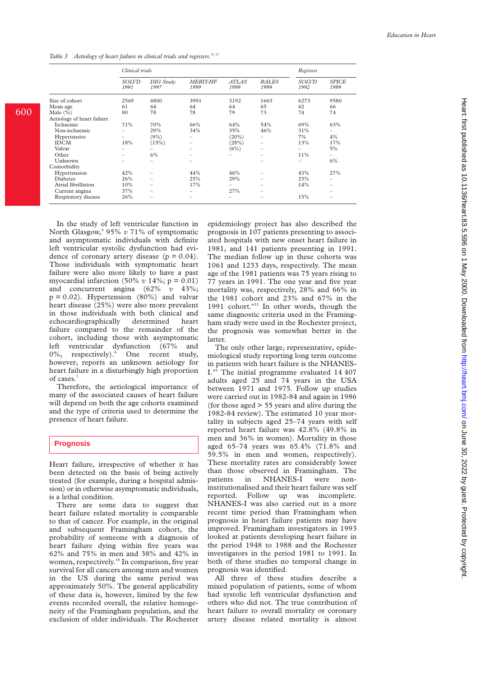*Table 3 Aetiology of heart failure in clinical trials and registers.*11–17

|                            | Clinical trials      |                          |                         |               |                          | Registers            |                      |
|----------------------------|----------------------|--------------------------|-------------------------|---------------|--------------------------|----------------------|----------------------|
|                            | <b>SOLVD</b><br>1991 | <b>DIG</b> Study<br>1997 | <b>MERIT-HF</b><br>1999 | ATLAS<br>1999 | <b>RALES</b><br>1999     | <b>SOLVD</b><br>1992 | <b>SPICE</b><br>1999 |
| Size of cohort             | 2569                 | 6800                     | 3991                    | 3192          | 1663                     | 6273                 | 9580                 |
| Mean age                   | 61                   | 64                       | 64                      | 64            | 65                       | 62                   | 66                   |
| Male $(\%)$                | 80                   | 78                       | 78                      | 79            | 73                       | 74                   | 74                   |
| Aetiology of heart failure |                      |                          |                         |               |                          |                      |                      |
| Ischaemic                  | 71%                  | 70%                      | 66%                     | 64%           | 54%                      | 69%                  | 63%                  |
| Non-ischaemic              |                      | 29%                      | 34%                     | 35%           | 46%                      | 31%                  | -                    |
| Hypertensive               |                      | (9%)                     |                         | $(20\%)$      | $\overline{\phantom{0}}$ | 7%                   | $4\%$                |
| <b>IDCM</b>                | 18%                  | (15%)                    |                         | (28%)         |                          | 13%                  | 17%                  |
| Valvar                     |                      | -                        |                         | (6%)          |                          |                      | 5%                   |
| Other                      |                      | 6%                       |                         |               |                          | 11%                  | -                    |
| Unknown                    |                      |                          |                         |               |                          |                      | 6%                   |
| Comorbidity                |                      |                          |                         |               |                          |                      |                      |
| Hypertension               | 42%                  |                          | 44%                     | 46%           |                          | 43%                  | 27%                  |
| <b>Diabetes</b>            | 26%                  | -                        | 25%                     | 29%           |                          | 23%                  |                      |
| Atrial fibrillation        | 10%                  | -                        | 17%                     | -             |                          | 14%                  |                      |
| Current angina             | 37%                  |                          |                         | 27%           |                          |                      |                      |
| Respiratory disease        | 26%                  |                          |                         |               |                          | 15%                  |                      |

In the study of left ventricular function in North Glasgow, <sup>4</sup> 95% *v* 71% of symptomatic and asymptomatic individuals with definite left ventricular systolic dysfunction had evidence of coronary artery disease  $(p = 0.04)$ . Those individuals with symptomatic heart failure were also more likely to have a past myocardial infarction (50% *v* 14%; p = 0.01) and concurrent angina (62% *v* 43%;  $p = 0.02$ ). Hypertension (80%) and valvar heart disease (25%) were also more prevalent in those individuals with both clinical and echocardiographically determined heart failure compared to the remainder of the cohort, including those with asymptomatic left ventricular dysfunction (67% and  $0\%$ , respectively).<sup>4</sup> One recent study, however, reports an unknown aetiology for heart failure in a disturbingly high proportion of cases. 7

Therefore, the aetiological importance of many of the associated causes of heart failure will depend on both the age cohorts examined and the type of criteria used to determine the presence of heart failure.

#### **Prognosis**

Heart failure, irrespective of whether it has been detected on the basis of being actively treated (for example, during a hospital admission) or in otherwise asymptomatic individuals, is a lethal condition.

There are some data to suggest that heart failure related mortality is comparable to that of cancer. For example, in the original and subsequent Framingham cohort, the probability of someone with a diagnosis of heart failure dying within five years was 62% and 75% in men and 38% and 42% in women, respectively.<sup>18</sup> In comparison, five year survival for all cancers among men and women in the US during the same period was approximately 50%. The general applicability of these data is, however, limited by the few events recorded overall, the relative homogeneity of the Framingham population, and the exclusion of older individuals. The Rochester epidemiology project has also described the prognosis in 107 patients presenting to associated hospitals with new onset heart failure in 1981, and 141 patients presenting in 1991. The median follow up in these cohorts was 1061 and 1233 days, respectively. The mean age of the 1981 patients was 75 years rising to 77 years in 1991. The one year and five year mortality was, respectively, 28% and 66% in the 1981 cohort and 23% and 67% in the 1991 cohort. $W^{12}$  In other words, though the same diagnostic criteria used in the Framingham study were used in the Rochester project, the prognosis was somewhat better in the latter.

The only other large, representative, epidemiological study reporting long term outcome in patients with heart failure is the NHANES-I.<sup>w5</sup> The initial programme evaluated 14 407 adults aged 25 and 74 years in the USA between 1971 and 1975. Follow up studies were carried out in 1982-84 and again in 1986 (for those aged > 55 years and alive during the 1982-84 review). The estimated 10 year mortality in subjects aged 25–74 years with self reported heart failure was 42.8% (49.8% in men and 36% in women). Mortality in those aged 65–74 years was 65.4% (71.8% and 59.5% in men and women, respectively). These mortality rates are considerably lower than those observed in Framingham. The in NHANES-I were noninstitutionalised and their heart failure was self reported. Follow up was incomplete. NHANES-I was also carried out in a more recent time period than Framingham when prognosis in heart failure patients may have improved. Framingham investigators in 1993 looked at patients developing heart failure in the period 1948 to 1988 and the Rochester investigators in the period 1981 to 1991. In both of these studies no temporal change in prognosis was identified.

All three of these studies describe a mixed population of patients, some of whom had systolic left ventricular dysfunction and others who did not. The true contribution of heart failure to overall mortality or coronary artery disease related mortality is almost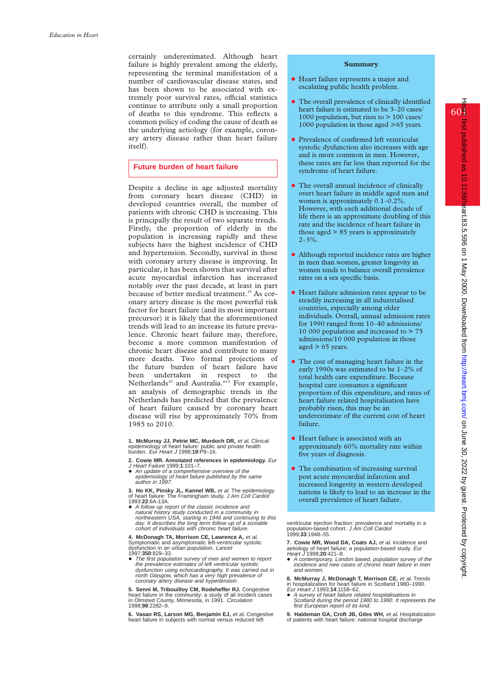certainly underestimated. Although heart failure is highly prevalent among the elderly, representing the terminal manifestation of a number of cardiovascular disease states, and has been shown to be associated with extremely poor survival rates, official statistics continue to attribute only a small proportion of deaths to this syndrome. This reflects a common policy of coding the cause of death as the underlying aetiology (for example, coronary artery disease rather than heart failure itself).

## **Future burden of heart failure**

Despite a decline in age adjusted mortality from coronary heart disease (CHD) in developed countries overall, the number of patients with chronic CHD is increasing. This is principally the result of two separate trends. Firstly, the proportion of elderly in the population is increasing rapidly and these subjects have the highest incidence of CHD and hypertension. Secondly, survival in those with coronary artery disease is improving. In particular, it has been shown that survival after acute myocardial infarction has increased notably over the past decade, at least in part because of better medical treatment.<sup>19</sup> As coronary artery disease is the most powerful risk factor for heart failure (and its most important precursor) it is likely that the aforementioned trends will lead to an increase its future prevalence. Chronic heart failure may, therefore, become a more common manifestation of chronic heart disease and contribute to many more deaths. Two formal projections of the future burden of heart failure have been undertaken in respect to the Netherlands<sup>20</sup> and Australia.<sup>w13</sup> For example, an analysis of demographic trends in the Netherlands has predicted that the prevalence of heart failure caused by coronary heart disease will rise by approximately 70% from 1985 to 2010.

**1. McMurray JJ, Petrie MC, Murdoch DR,** et al**.** Clinical epidemiology of heart failure: public and private health burden. Eur Heart J 1998;**19**:P9–16.

**2. Cowie MR. Annotated references in epidemiology.** Eur

- J Heart Failure 1999;**1**:101–7. + An update of <sup>a</sup> comprehensive overview of the epidemiology of heart failure published by the same author in 1997.
- **3. Ho KK, Pinsky JL, Kannel WB,** et al. The epidemiology of heart failure: The Framingham study. J Am Coll Cardiol 1993;**22**:6A-13A.
- A follow up report of the classic incidence and natural history study conducted in <sup>a</sup> community in northeastern USA, starting in 1946 and continuing to this day. It describes the long term follow up of <sup>a</sup> sizeable cohort of individuals with chronic heart failure.

**4. McDonagh TA, Morrison CE, Lawrence A,** et al**.** Symptomatic and asymptomatic left-ventricular systolic dysfunction in an urban population. Lancet 1997;**350**:829–33.

• The first population survey of men and women to report the prevalence estimates of left ventricular systolic dysfunction using echocardiography. It was carried out in north Glasgow, which has <sup>a</sup> very high prevalence of coronary artery disease and hypertension.

**5. Senni M, Tribouilloy CM, Rodeheffer RJ.** Congestive heart failure in the community: a study of all incident cases<br>in Olmsted County, Minnesota, in 1991. *Circulation* 1998;**98**:2282–9.

**6. Vasan RS, Larson MG, Benjamin EJ,** et al**.** Congestive heart failure in subjects with normal versus reduced left

## **Summary**

- **Heart failure represents a major and** escalating public health problem.
- $\bullet$  The overall prevalence of clinically identified heart failure is estimated to be 3–20 cases/ 1000 population, but rises to > 100 cases/ 1000 population in those aged  $\geq 65$  years.
- Prevalence of confirmed left ventricular systolic dysfunction also increases with age and is more common in men. However, these rates are far less than reported for the syndrome of heart failure.
- The overall annual incidence of clinically overt heart failure in middle aged men and women is approximately 0.1–0.2%. However, with each additional decade of life there is an approximate doubling of this rate and the incidence of heart failure in those aged > 85 years is approximately  $2 - 3\%$ .
- Although reported incidence rates are higher in men than women, greater longevity in women tends to balance overall prevalence rates on a sex specific basis.
- Heart failure admission rates appear to be steadily increasing in all industrialised countries, especially among older individuals. Overall, annual admission rates for 1990 ranged from 10–40 admissions/ 10 000 population and increased to > 75 admissions/10 000 population in those aged  $> 65$  years.
- The cost of managing heart failure in the early 1990s was estimated to be 1–2% of total health care expenditure. Because hospital care consumes a significant proportion of this expenditure, and rates of heart failure related hospitalisation have probably risen, this may be an underestimate of the current cost of heart failure.
- Heart failure is associated with an approximately 60% mortality rate within five years of diagnosis.
- The combination of increasing survival post acute myocardial infarction and increased longevity in western developed nations is likely to lead to an increase in the overall prevalence of heart failure.

ventricular ejection fraction: prevalence and mortality in a population-based cohort. J Am Coll Cardiol 1999;**33**:1948–55.

**7. Cowie MR, Wood DA, Coats AJ,** et al**.** Incidence and aetiology of heart failure; a population-based study. Eur Heart J 1999;**20**:421–8.

 $\bullet$  A contemporary, London based, population survey of the incidence and new cases of chronic heart failure in men and women.

**8. McMurray J, McDonagh T, Morrison CE,** et al**.** Trends in hospitalization for heart failure in Scotland 1980–1990. Eur Heart J 1993;**14**:1158–62.

● A survey of heart failure related hospitalisations in Scotland during the period 1980 to 1990. It represents the first European report of its kind.

**9. Haldeman GA, Croft JB, Giles WH,** et al**.** Hospitalization of patients with heart failure: national hospital discharge